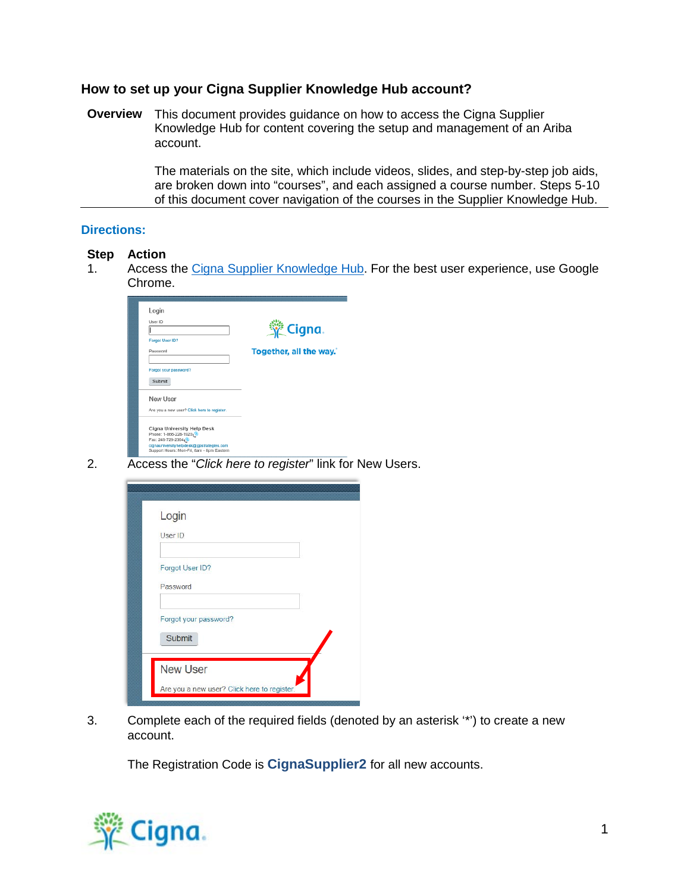## **How to set up your Cigna Supplier Knowledge Hub account?**

**Overview** This document provides guidance on how to access the Cigna Supplier Knowledge Hub for content covering the setup and management of an Ariba account.

> The materials on the site, which include videos, slides, and step-by-step job aids, are broken down into "courses", and each assigned a course number. Steps 5-10 of this document cover navigation of the courses in the Supplier Knowledge Hub.

## **Directions:**

## **Step Action**

1. Access the [Cigna Supplier Knowledge Hub.](https://cignagp.plateau.com/learning/user/portal.do?siteID=STRUC%5fCBL&landingPage=login) For the best user experience, use Google Chrome.

| Login<br>User ID<br><b>Forgot User ID?</b><br>Password<br>Forgot your password?<br>Submit                                                                            | <u> 。</u> Cigna.<br>Together, all the way." |
|----------------------------------------------------------------------------------------------------------------------------------------------------------------------|---------------------------------------------|
| New User<br>Are you a new user? Click here to register.                                                                                                              |                                             |
| Cigna University Help Desk<br>Phone: 1-866-228-1920, 5<br>Fax: 248-729-2364<br>cignauniversityhelpdesk@gpstrategies.com<br>Support Hours: Mon-Fri, 8am - 8pm Eastern |                                             |

2. Access the "*Click here to register*" link for New Users.

| Login                 |                                             |  |
|-----------------------|---------------------------------------------|--|
| User ID               |                                             |  |
| Forgot User ID?       |                                             |  |
| Password              |                                             |  |
| Forgot your password? |                                             |  |
| Submit                |                                             |  |
| <b>New User</b>       |                                             |  |
|                       | Are you a new user? Click here to register. |  |

3. Complete each of the required fields (denoted by an asterisk '\*') to create a new account.

The Registration Code is **CignaSupplier2** for all new accounts.

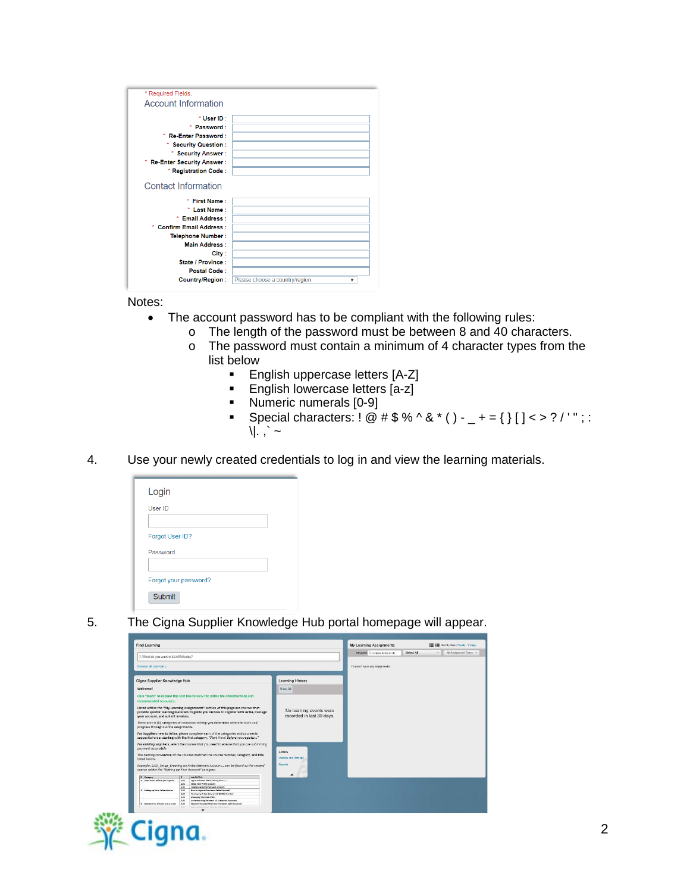| * Required Fields.                 |                                     |
|------------------------------------|-------------------------------------|
| <b>Account Information</b>         |                                     |
|                                    |                                     |
| * User ID *                        |                                     |
| * Password:                        |                                     |
| ×<br><b>Re-Enter Password:</b>     |                                     |
| <b>Security Question:</b>          |                                     |
| <b>Security Answer:</b>            |                                     |
| <b>Re-Enter Security Answer:</b>   |                                     |
| * Registration Code:               |                                     |
|                                    |                                     |
| <b>Contact Information</b>         |                                     |
| ٠                                  |                                     |
| First Name :                       |                                     |
| <b>Last Name:</b>                  |                                     |
| * Email Address :                  |                                     |
| <b>Confirm Email Address:</b><br>w |                                     |
| <b>Telephone Number:</b>           |                                     |
| <b>Main Address:</b>               |                                     |
| City:                              |                                     |
| State / Province:                  |                                     |
| Postal Code:                       |                                     |
| <b>Country/Region:</b>             | Please choose a country/region<br>▼ |

Notes:

- The account password has to be compliant with the following rules:
	- o The length of the password must be between 8 and 40 characters.<br>  $\circ$  The password must contain a minimum of 4 character types from the
		- The password must contain a minimum of 4 character types from the list below<br>Er
			- English uppercase letters [A-Z]
			- **English lowercase letters [a-z]**<br>Numeric numerals [0-9]
			- Numeric numerals [0-9]<br>• Special characters: ! @
			- Special characters:  $! \mathcal{Q} \# \$ \% \wedge \& ^* () _+ = \{\} [ ] < > ? / ' " ; :$  $\|\cdot\|$   $\sim$
- 4. Use your newly created credentials to log in and view the learning materials.

| User ID         |  |  |
|-----------------|--|--|
| Forgot User ID? |  |  |
| Password        |  |  |
|                 |  |  |

5. The Cigna Supplier Knowledge Hub portal homepage will appear.



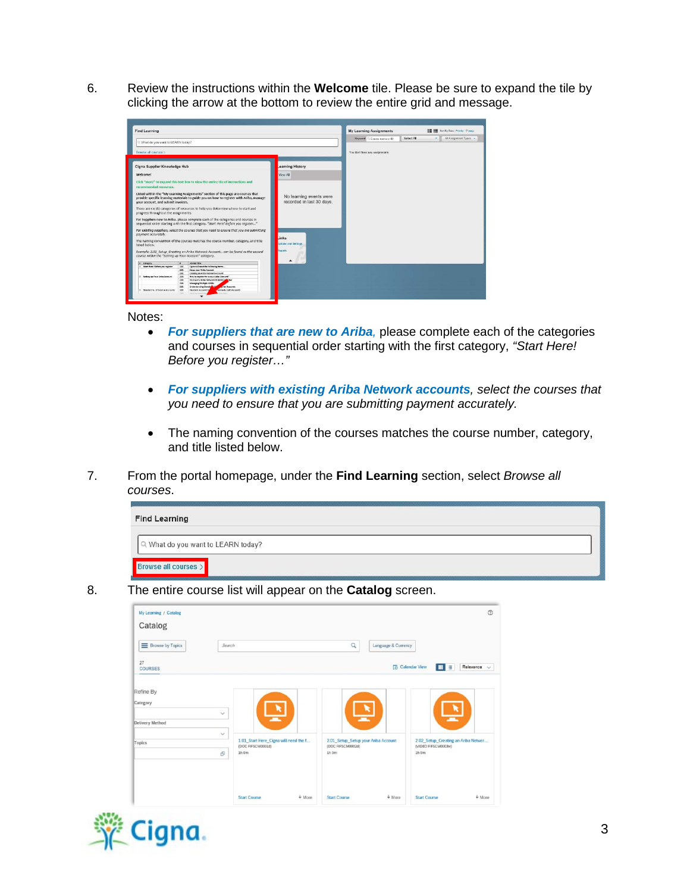6. Review the instructions within the **Welcome** tile. Please be sure to expand the tile by clicking the arrow at the bottom to review the entire grid and message.

| Select All<br>Keyword: C Course name or ID<br>v.<br>C. What do you want to LEARN today?<br>Browse all courses ><br>You don't have any assignments<br>Cigna Supplier Knowledge Hub<br>earning History<br><b>Welcome!</b><br>View All<br>No learning events were<br>recorded in last 30 days.<br>.inks<br>Johnne and Settings<br>deporte<br># Catagory<br>$\mathbf{r}$<br><b><i><u>Solv Aud Tele</u></i></b>                                                                                                                                                                                                                                                                        | <b>Find Learning</b> |  |  | My Learning Assignments |                      | <b>IE IE</b> tutty Data (Printy, Virtual |
|-----------------------------------------------------------------------------------------------------------------------------------------------------------------------------------------------------------------------------------------------------------------------------------------------------------------------------------------------------------------------------------------------------------------------------------------------------------------------------------------------------------------------------------------------------------------------------------------------------------------------------------------------------------------------------------|----------------------|--|--|-------------------------|----------------------|------------------------------------------|
|                                                                                                                                                                                                                                                                                                                                                                                                                                                                                                                                                                                                                                                                                   |                      |  |  |                         | All Assignment Types |                                          |
|                                                                                                                                                                                                                                                                                                                                                                                                                                                                                                                                                                                                                                                                                   |                      |  |  |                         |                      |                                          |
|                                                                                                                                                                                                                                                                                                                                                                                                                                                                                                                                                                                                                                                                                   |                      |  |  |                         |                      |                                          |
|                                                                                                                                                                                                                                                                                                                                                                                                                                                                                                                                                                                                                                                                                   |                      |  |  |                         |                      |                                          |
| Click "more" to expand this text box to view the entire tile of instructions and<br>recommended resources.                                                                                                                                                                                                                                                                                                                                                                                                                                                                                                                                                                        |                      |  |  |                         |                      |                                          |
| Listed within the "My Learning Assignments" section of this page are courses that<br>provide specific learning materials to guide you on how to register with Ariba, manage<br>your account, and submit invoices.                                                                                                                                                                                                                                                                                                                                                                                                                                                                 |                      |  |  |                         |                      |                                          |
| There are six (6) categories of resources to help you determine where to start and<br>progress throughout the assignments.<br>For Suppliers new to Ariba, please complete each of the categories and courses in<br>sequential order starting with the first category, "Start Here! Before you register"<br>For existing suppliers, select the courses that you need to ensure that you are submitting<br>payment occurately.<br>The naming convention of the courses matches the course number, category, and title<br>listed below.<br>Example: 2.02 Setup Creating an Ariba Network Account can be found as the second<br>course within the "Setting up Your Account" category. |                      |  |  |                         |                      |                                          |
|                                                                                                                                                                                                                                                                                                                                                                                                                                                                                                                                                                                                                                                                                   |                      |  |  |                         |                      |                                          |
|                                                                                                                                                                                                                                                                                                                                                                                                                                                                                                                                                                                                                                                                                   |                      |  |  |                         |                      |                                          |
|                                                                                                                                                                                                                                                                                                                                                                                                                                                                                                                                                                                                                                                                                   |                      |  |  |                         |                      |                                          |
|                                                                                                                                                                                                                                                                                                                                                                                                                                                                                                                                                                                                                                                                                   |                      |  |  |                         |                      |                                          |
|                                                                                                                                                                                                                                                                                                                                                                                                                                                                                                                                                                                                                                                                                   |                      |  |  |                         |                      |                                          |
|                                                                                                                                                                                                                                                                                                                                                                                                                                                                                                                                                                                                                                                                                   |                      |  |  |                         |                      |                                          |
| 1 Start Here! Before you replater<br>1.02<br>Ogne will need the following items                                                                                                                                                                                                                                                                                                                                                                                                                                                                                                                                                                                                   |                      |  |  |                         |                      |                                          |
| 2.01<br>Setup your Arths Account                                                                                                                                                                                                                                                                                                                                                                                                                                                                                                                                                                                                                                                  |                      |  |  |                         |                      |                                          |
| 2.02<br>Creating on Ariba Naturork Account                                                                                                                                                                                                                                                                                                                                                                                                                                                                                                                                                                                                                                        |                      |  |  |                         |                      |                                          |
| 2 Setting up Your Anton Account<br>2.04<br><b>New to register for a new Arise Account?</b>                                                                                                                                                                                                                                                                                                                                                                                                                                                                                                                                                                                        |                      |  |  |                         |                      |                                          |
| 2.85<br><b>Disting my Artha Naturer's 13 (4/410) Salesbar</b><br>2.00                                                                                                                                                                                                                                                                                                                                                                                                                                                                                                                                                                                                             |                      |  |  |                         |                      |                                          |
| Managing Multiple ANEDs<br><b>Prize Accounts</b><br><b>Coderstanding Standard VSA</b><br>3.01                                                                                                                                                                                                                                                                                                                                                                                                                                                                                                                                                                                     |                      |  |  |                         |                      |                                          |
| Cornerly Light Assount)<br>3 Stendard vs. Enterprise Accounts<br>3.82<br>Standard Account Ou                                                                                                                                                                                                                                                                                                                                                                                                                                                                                                                                                                                      |                      |  |  |                         |                      |                                          |

Notes:

- *For suppliers that are new to Ariba,* please complete each of the categories and courses in sequential order starting with the first category, *"Start Here! Before you register…"*
- *For suppliers with existing Ariba Network accounts, select the courses that you need to ensure that you are submitting payment accurately.*
- The naming convention of the courses matches the course number, category, and title listed below.
- 7. From the portal homepage, under the **Find Learning** section, select *Browse all courses*.

| <b>Find Learning</b>               |  |
|------------------------------------|--|
| Q What do you want to LEARN today? |  |
| Browse all courses >               |  |

8. The entire course list will appear on the **Catalog** screen.

| My Learning / Catalog<br>Catalog |              |                                                                     |          |                                                                   |                     |                                                                       | $\circledcirc$   |
|----------------------------------|--------------|---------------------------------------------------------------------|----------|-------------------------------------------------------------------|---------------------|-----------------------------------------------------------------------|------------------|
| E Browse by Topics               | Search       |                                                                     |          | $\alpha$                                                          | Language & Currency |                                                                       |                  |
| 27<br><b>COURSES</b>             |              |                                                                     |          |                                                                   |                     | <b>Calendar View</b><br><b>II</b> E                                   | Relevance $\sim$ |
| Refine By<br>Category            |              | B                                                                   |          |                                                                   |                     |                                                                       |                  |
| Delivery Method                  | $\checkmark$ |                                                                     |          |                                                                   |                     |                                                                       |                  |
| Topics                           | $\checkmark$ | 1.01 Start Here Cigna will need the f<br>(DOC FIFSCM0001d)<br>1h 0m |          | 2.01 Setup Setup your Ariba Account<br>(DOC FIFSCM0002d)<br>1h 0m |                     | 2.02 Setup Creating an Ariba Networ<br>(VIDEO FIFSCM0003w)<br>$1h$ 0m |                  |
|                                  | ď            |                                                                     |          |                                                                   |                     |                                                                       |                  |
|                                  |              | <b>Start Course</b>                                                 | $+$ More | <b>Start Course</b>                                               | $+$ More            | <b>Start Course</b>                                                   | $+$ More         |

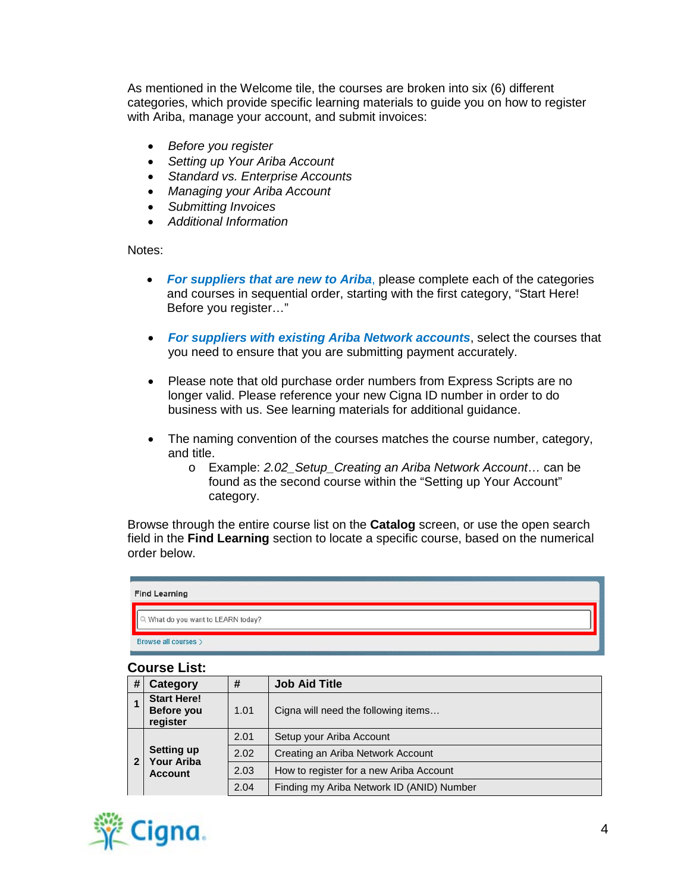As mentioned in the Welcome tile, the courses are broken into six (6) different categories, which provide specific learning materials to guide you on how to register with Ariba, manage your account, and submit invoices:

- *Before you register*
- *Setting up Your Ariba Account*
- *Standard vs. Enterprise Accounts*
- *Managing your Ariba Account*
- *Submitting Invoices*
- *Additional Information*

Notes:

- *For suppliers that are new to Ariba*, please complete each of the categories and courses in sequential order, starting with the first category, "Start Here! Before you register…"
- *For suppliers with existing Ariba Network accounts*, select the courses that you need to ensure that you are submitting payment accurately.
- Please note that old purchase order numbers from Express Scripts are no longer valid. Please reference your new Cigna ID number in order to do business with us. See learning materials for additional guidance.
- The naming convention of the courses matches the course number, category, and title.
	- o Example: *2.02\_Setup\_Creating an Ariba Network Account*… can be found as the second course within the "Setting up Your Account" category.

Browse through the entire course list on the **Catalog** screen, or use the open search field in the **Find Learning** section to locate a specific course, based on the numerical order below.

| <b>Find Learning</b>             |  |
|----------------------------------|--|
| What do you want to LEARN today? |  |
| Browse all courses >             |  |

## **Course List:**

| # | Category                                     | <b>Job Aid Title</b><br># |                                           |  |  |
|---|----------------------------------------------|---------------------------|-------------------------------------------|--|--|
|   | <b>Start Here!</b><br>Before you<br>register | 1.01                      | Cigna will need the following items       |  |  |
|   |                                              | 2.01                      | Setup your Ariba Account                  |  |  |
| 2 | <b>Setting up</b><br>Your Ariba              | 2.02                      | Creating an Ariba Network Account         |  |  |
|   | <b>Account</b>                               | 2.03                      | How to register for a new Ariba Account   |  |  |
|   |                                              | 2.04                      | Finding my Ariba Network ID (ANID) Number |  |  |

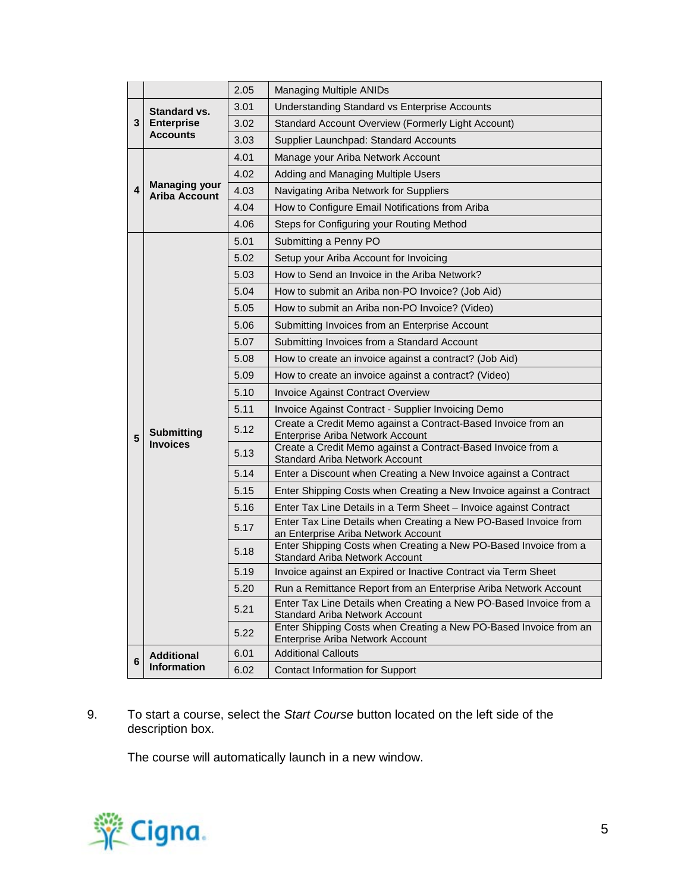|   |                                              | 2.05 | <b>Managing Multiple ANIDs</b>                                                                            |
|---|----------------------------------------------|------|-----------------------------------------------------------------------------------------------------------|
|   | Standard vs.                                 | 3.01 | Understanding Standard vs Enterprise Accounts                                                             |
| 3 | <b>Enterprise</b>                            | 3.02 | Standard Account Overview (Formerly Light Account)                                                        |
|   | <b>Accounts</b>                              | 3.03 | Supplier Launchpad: Standard Accounts                                                                     |
|   |                                              | 4.01 | Manage your Ariba Network Account                                                                         |
|   |                                              | 4.02 | Adding and Managing Multiple Users                                                                        |
| 4 | <b>Managing your</b><br><b>Ariba Account</b> | 4.03 | Navigating Ariba Network for Suppliers                                                                    |
|   |                                              | 4.04 | How to Configure Email Notifications from Ariba                                                           |
|   |                                              | 4.06 | Steps for Configuring your Routing Method                                                                 |
|   |                                              | 5.01 | Submitting a Penny PO                                                                                     |
|   |                                              | 5.02 | Setup your Ariba Account for Invoicing                                                                    |
|   |                                              | 5.03 | How to Send an Invoice in the Ariba Network?                                                              |
|   |                                              | 5.04 | How to submit an Ariba non-PO Invoice? (Job Aid)                                                          |
|   |                                              | 5.05 | How to submit an Ariba non-PO Invoice? (Video)                                                            |
|   |                                              | 5.06 | Submitting Invoices from an Enterprise Account                                                            |
|   |                                              | 5.07 | Submitting Invoices from a Standard Account                                                               |
|   |                                              | 5.08 | How to create an invoice against a contract? (Job Aid)                                                    |
|   |                                              | 5.09 | How to create an invoice against a contract? (Video)                                                      |
|   |                                              | 5.10 | <b>Invoice Against Contract Overview</b>                                                                  |
|   |                                              | 5.11 | Invoice Against Contract - Supplier Invoicing Demo                                                        |
| 5 | <b>Submitting</b>                            | 5.12 | Create a Credit Memo against a Contract-Based Invoice from an<br>Enterprise Ariba Network Account         |
|   | <b>Invoices</b>                              | 5.13 | Create a Credit Memo against a Contract-Based Invoice from a<br><b>Standard Ariba Network Account</b>     |
|   |                                              | 5.14 | Enter a Discount when Creating a New Invoice against a Contract                                           |
|   |                                              | 5.15 | Enter Shipping Costs when Creating a New Invoice against a Contract                                       |
|   |                                              | 5.16 | Enter Tax Line Details in a Term Sheet - Invoice against Contract                                         |
|   |                                              | 5.17 | Enter Tax Line Details when Creating a New PO-Based Invoice from<br>an Enterprise Ariba Network Account   |
|   |                                              | 5.18 | Enter Shipping Costs when Creating a New PO-Based Invoice from a<br><b>Standard Ariba Network Account</b> |
|   |                                              | 5.19 | Invoice against an Expired or Inactive Contract via Term Sheet                                            |
|   |                                              | 5.20 | Run a Remittance Report from an Enterprise Ariba Network Account                                          |
|   |                                              | 5.21 | Enter Tax Line Details when Creating a New PO-Based Invoice from a<br>Standard Ariba Network Account      |
|   |                                              | 5.22 | Enter Shipping Costs when Creating a New PO-Based Invoice from an<br>Enterprise Ariba Network Account     |
| 6 | <b>Additional</b>                            | 6.01 | <b>Additional Callouts</b>                                                                                |
|   | <b>Information</b>                           | 6.02 | Contact Information for Support                                                                           |

9. To start a course, select the *Start Course* button located on the left side of the description box.

The course will automatically launch in a new window.

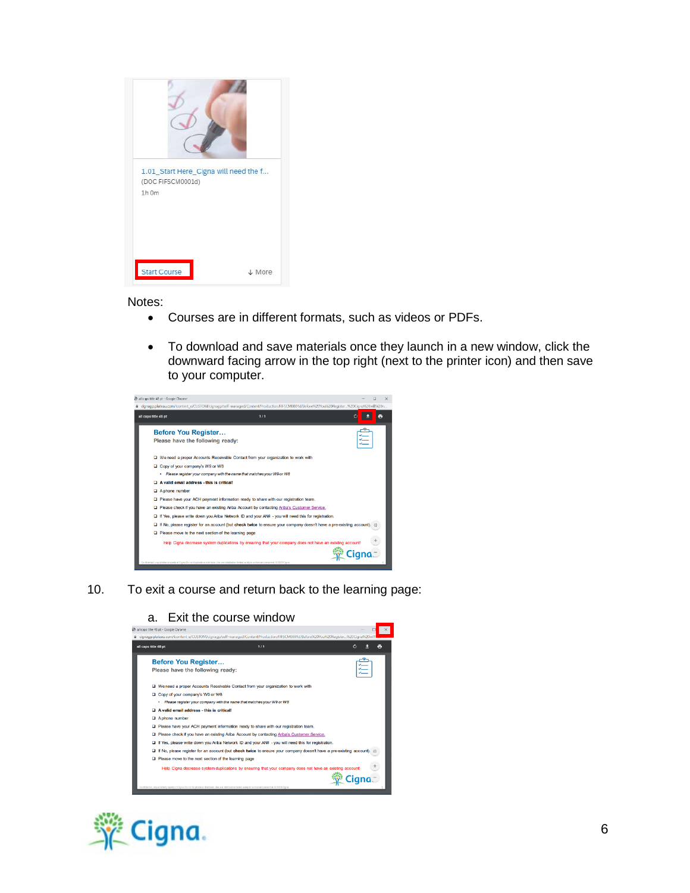| 1.01_Start Here_Cigna will need the f<br>(DOC FIFSCM0001d)<br>1h 0m |          |
|---------------------------------------------------------------------|----------|
| <b>Start Course</b>                                                 | $L$ More |

Notes:

- Courses are in different formats, such as videos or PDFs.
- To download and save materials once they launch in a new window, click the downward facing arrow in the top right (next to the printer icon) and then save to your computer.



10. To exit a course and return back to the learning page: